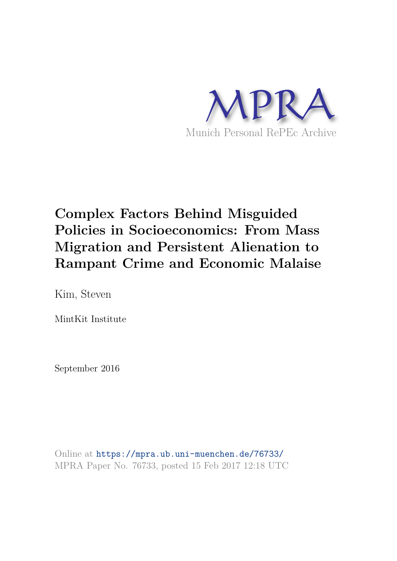

# **Complex Factors Behind Misguided Policies in Socioeconomics: From Mass Migration and Persistent Alienation to Rampant Crime and Economic Malaise**

Kim, Steven

MintKit Institute

September 2016

Online at https://mpra.ub.uni-muenchen.de/76733/ MPRA Paper No. 76733, posted 15 Feb 2017 12:18 UTC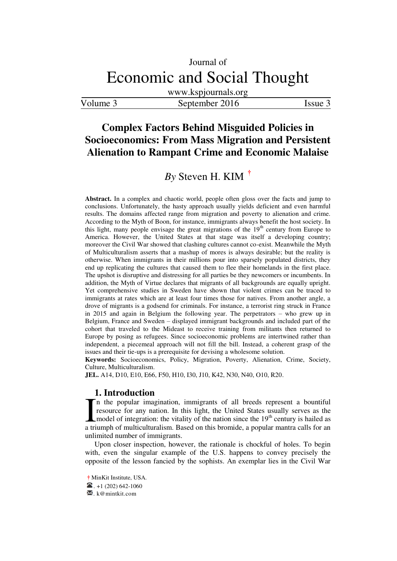www.kspjournals.org

Volume 3 September 2016 Issue 3

# **Complex Factors Behind Misguided Policies in Socioeconomics: From Mass Migration and Persistent Alienation to Rampant Crime and Economic Malaise**

# $By$  Steven H. KIM<sup> $\dagger$ </sup>

**Abstract.** In a complex and chaotic world, people often gloss over the facts and jump to conclusions. Unfortunately, the hasty approach usually yields deficient and even harmful results. The domains affected range from migration and poverty to alienation and crime. According to the Myth of Boon, for instance, immigrants always benefit the host society. In this light, many people envisage the great migrations of the  $19<sup>th</sup>$  century from Europe to America. However, the United States at that stage was itself a developing country; moreover the Civil War showed that clashing cultures cannot co-exist. Meanwhile the Myth of Multiculturalism asserts that a mashup of mores is always desirable; but the reality is otherwise. When immigrants in their millions pour into sparsely populated districts, they end up replicating the cultures that caused them to flee their homelands in the first place. The upshot is disruptive and distressing for all parties be they newcomers or incumbents. In addition, the Myth of Virtue declares that migrants of all backgrounds are equally upright. Yet comprehensive studies in Sweden have shown that violent crimes can be traced to immigrants at rates which are at least four times those for natives. From another angle, a drove of migrants is a godsend for criminals. For instance, a terrorist ring struck in France in 2015 and again in Belgium the following year. The perpetrators – who grew up in Belgium, France and Sweden – displayed immigrant backgrounds and included part of the cohort that traveled to the Mideast to receive training from militants then returned to Europe by posing as refugees. Since socioeconomic problems are intertwined rather than independent, a piecemeal approach will not fill the bill. Instead, a coherent grasp of the issues and their tie-ups is a prerequisite for devising a wholesome solution.

**Keywords:** Socioeconomics, Policy, Migration, Poverty, Alienation, Crime, Society, Culture, Multiculturalism.

**JEL.** A14, D10, E10, E66, F50, H10, I30, J10, K42, N30, N40, O10, R20.

#### **1. Introduction**

n the popular imagination, immigrants of all breeds represent a bountiful resource for any nation. In this light, the United States usually serves as the model of integration: the vitality of the nation since the  $19<sup>th</sup>$  century is hailed as If the popular imagination, immigrants of all breeds represent a bountiful resource for any nation. In this light, the United States usually serves as the model of integration: the vitality of the nation since the  $19<sup>th</sup>$ unlimited number of immigrants.

Upon closer inspection, however, the rationale is chockful of holes. To begin with, even the singular example of the U.S. happens to convey precisely the opposite of the lesson fancied by the sophists. An exemplar lies in the Civil War

 $\boxtimes$ . k@mintkit.com

<span id="page-1-0"></span>**a †** MinKit Institute, USA.

 $\bullet$  +1 (202) 642-1060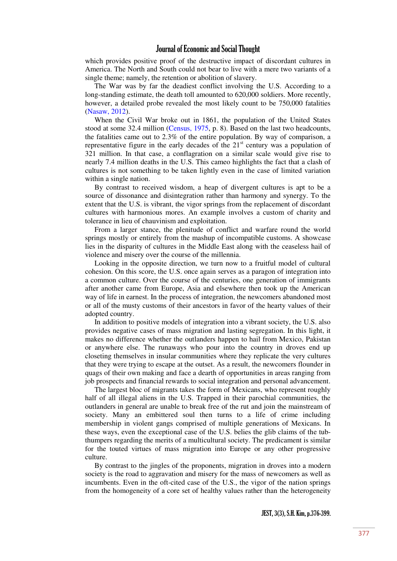which provides positive proof of the destructive impact of discordant cultures in America. The North and South could not bear to live with a mere two variants of a single theme; namely, the retention or abolition of slavery.

The War was by far the deadiest conflict involving the U.S. According to a long-standing estimate, the death toll amounted to 620,000 soldiers. More recently, however, a detailed probe revealed the most likely count to be 750,000 fatalities [\(Nasaw, 2012\)](#page-23-0).

When the Civil War broke out in 1861, the population of the United States stood at some 32.4 million [\(Census, 1975,](#page-23-1) p. 8). Based on the last two headcounts, the fatalities came out to 2.3% of the entire population. By way of comparison, a representative figure in the early decades of the  $21<sup>st</sup>$  century was a population of 321 million. In that case, a conflagration on a similar scale would give rise to nearly 7.4 million deaths in the U.S. This cameo highlights the fact that a clash of cultures is not something to be taken lightly even in the case of limited variation within a single nation.

By contrast to received wisdom, a heap of divergent cultures is apt to be a source of dissonance and disintegration rather than harmony and synergy. To the extent that the U.S. is vibrant, the vigor springs from the replacement of discordant cultures with harmonious mores. An example involves a custom of charity and tolerance in lieu of chauvinism and exploitation.

From a larger stance, the plenitude of conflict and warfare round the world springs mostly or entirely from the mashup of incompatible customs. A showcase lies in the disparity of cultures in the Middle East along with the ceaseless hail of violence and misery over the course of the millennia.

Looking in the opposite direction, we turn now to a fruitful model of cultural cohesion. On this score, the U.S. once again serves as a paragon of integration into a common culture. Over the course of the centuries, one generation of immigrants after another came from Europe, Asia and elsewhere then took up the American way of life in earnest. In the process of integration, the newcomers abandoned most or all of the musty customs of their ancestors in favor of the hearty values of their adopted country.

In addition to positive models of integration into a vibrant society, the U.S. also provides negative cases of mass migration and lasting segregation. In this light, it makes no difference whether the outlanders happen to hail from Mexico, Pakistan or anywhere else. The runaways who pour into the country in droves end up closeting themselves in insular communities where they replicate the very cultures that they were trying to escape at the outset. As a result, the newcomers flounder in quags of their own making and face a dearth of opportunities in areas ranging from job prospects and financial rewards to social integration and personal advancement.

The largest bloc of migrants takes the form of Mexicans, who represent roughly half of all illegal aliens in the U.S. Trapped in their parochial communities, the outlanders in general are unable to break free of the rut and join the mainstream of society. Many an embittered soul then turns to a life of crime including membership in violent gangs comprised of multiple generations of Mexicans. In these ways, even the exceptional case of the U.S. belies the glib claims of the tubthumpers regarding the merits of a multicultural society. The predicament is similar for the touted virtues of mass migration into Europe or any other progressive culture.

By contrast to the jingles of the proponents, migration in droves into a modern society is the road to aggravation and misery for the mass of newcomers as well as incumbents. Even in the oft-cited case of the U.S., the vigor of the nation springs from the homogeneity of a core set of healthy values rather than the heterogeneity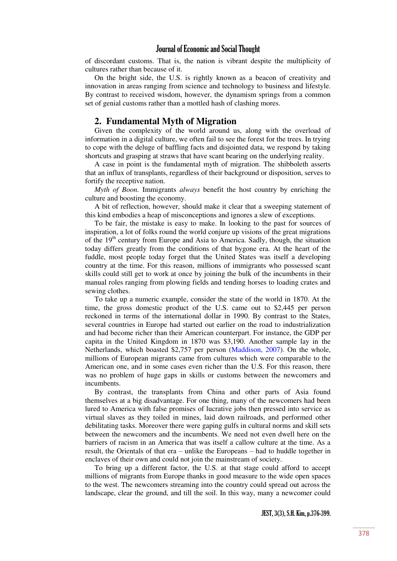of discordant customs. That is, the nation is vibrant despite the multiplicity of cultures rather than because of it.

On the bright side, the U.S. is rightly known as a beacon of creativity and innovation in areas ranging from science and technology to business and lifestyle. By contrast to received wisdom, however, the dynamism springs from a common set of genial customs rather than a mottled hash of clashing mores.

#### **2. Fundamental Myth of Migration**

Given the complexity of the world around us, along with the overload of information in a digital culture, we often fail to see the forest for the trees. In trying to cope with the deluge of baffling facts and disjointed data, we respond by taking shortcuts and grasping at straws that have scant bearing on the underlying reality.

A case in point is the fundamental myth of migration. The shibboleth asserts that an influx of transplants, regardless of their background or disposition, serves to fortify the receptive nation.

*Myth of Boon.* Immigrants *always* benefit the host country by enriching the culture and boosting the economy.

A bit of reflection, however, should make it clear that a sweeping statement of this kind embodies a heap of misconceptions and ignores a slew of exceptions.

To be fair, the mistake is easy to make. In looking to the past for sources of inspiration, a lot of folks round the world conjure up visions of the great migrations of the  $19<sup>th</sup>$  century from Europe and Asia to America. Sadly, though, the situation today differs greatly from the conditions of that bygone era. At the heart of the fuddle, most people today forget that the United States was itself a developing country at the time. For this reason, millions of immigrants who possessed scant skills could still get to work at once by joining the bulk of the incumbents in their manual roles ranging from plowing fields and tending horses to loading crates and sewing clothes.

To take up a numeric example, consider the state of the world in 1870. At the time, the gross domestic product of the U.S. came out to \$2,445 per person reckoned in terms of the international dollar in 1990. By contrast to the States, several countries in Europe had started out earlier on the road to industrialization and had become richer than their American counterpart. For instance, the GDP per capita in the United Kingdom in 1870 was \$3,190. Another sample lay in the Netherlands, which boasted \$2,757 per person [\(Maddison, 2007\)](#page-23-2). On the whole, millions of European migrants came from cultures which were comparable to the American one, and in some cases even richer than the U.S. For this reason, there was no problem of huge gaps in skills or customs between the newcomers and incumbents.

By contrast, the transplants from China and other parts of Asia found themselves at a big disadvantage. For one thing, many of the newcomers had been lured to America with false promises of lucrative jobs then pressed into service as virtual slaves as they toiled in mines, laid down railroads, and performed other debilitating tasks. Moreover there were gaping gulfs in cultural norms and skill sets between the newcomers and the incumbents. We need not even dwell here on the barriers of racism in an America that was itself a callow culture at the time. As a result, the Orientals of that era – unlike the Europeans – had to huddle together in enclaves of their own and could not join the mainstream of society.

To bring up a different factor, the U.S. at that stage could afford to accept millions of migrants from Europe thanks in good measure to the wide open spaces to the west. The newcomers streaming into the country could spread out across the landscape, clear the ground, and till the soil. In this way, many a newcomer could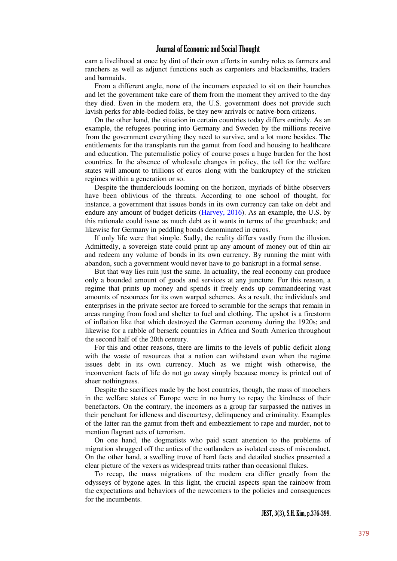earn a livelihood at once by dint of their own efforts in sundry roles as farmers and ranchers as well as adjunct functions such as carpenters and blacksmiths, traders and barmaids.

From a different angle, none of the incomers expected to sit on their haunches and let the government take care of them from the moment they arrived to the day they died. Even in the modern era, the U.S. government does not provide such lavish perks for able-bodied folks, be they new arrivals or native-born citizens.

On the other hand, the situation in certain countries today differs entirely. As an example, the refugees pouring into Germany and Sweden by the millions receive from the government everything they need to survive, and a lot more besides. The entitlements for the transplants run the gamut from food and housing to healthcare and education. The paternalistic policy of course poses a huge burden for the host countries. In the absence of wholesale changes in policy, the toll for the welfare states will amount to trillions of euros along with the bankruptcy of the stricken regimes within a generation or so.

Despite the thunderclouds looming on the horizon, myriads of blithe observers have been oblivious of the threats. According to one school of thought, for instance, a government that issues bonds in its own currency can take on debt and endure any amount of budget deficits [\(Harvey, 2016\)](#page-23-3). As an example, the U.S. by this rationale could issue as much debt as it wants in terms of the greenback; and likewise for Germany in peddling bonds denominated in euros.

If only life were that simple. Sadly, the reality differs vastly from the illusion. Admittedly, a sovereign state could print up any amount of money out of thin air and redeem any volume of bonds in its own currency. By running the mint with abandon, such a government would never have to go bankrupt in a formal sense.

But that way lies ruin just the same. In actuality, the real economy can produce only a bounded amount of goods and services at any juncture. For this reason, a regime that prints up money and spends it freely ends up commandeering vast amounts of resources for its own warped schemes. As a result, the individuals and enterprises in the private sector are forced to scramble for the scraps that remain in areas ranging from food and shelter to fuel and clothing. The upshot is a firestorm of inflation like that which destroyed the German economy during the 1920s; and likewise for a rabble of berserk countries in Africa and South America throughout the second half of the 20th century.

For this and other reasons, there are limits to the levels of public deficit along with the waste of resources that a nation can withstand even when the regime issues debt in its own currency. Much as we might wish otherwise, the inconvenient facts of life do not go away simply because money is printed out of sheer nothingness.

Despite the sacrifices made by the host countries, though, the mass of moochers in the welfare states of Europe were in no hurry to repay the kindness of their benefactors. On the contrary, the incomers as a group far surpassed the natives in their penchant for idleness and discourtesy, delinquency and criminality. Examples of the latter ran the gamut from theft and embezzlement to rape and murder, not to mention flagrant acts of terrorism.

On one hand, the dogmatists who paid scant attention to the problems of migration shrugged off the antics of the outlanders as isolated cases of misconduct. On the other hand, a swelling trove of hard facts and detailed studies presented a clear picture of the vexers as widespread traits rather than occasional flukes.

To recap, the mass migrations of the modern era differ greatly from the odysseys of bygone ages. In this light, the crucial aspects span the rainbow from the expectations and behaviors of the newcomers to the policies and consequences for the incumbents.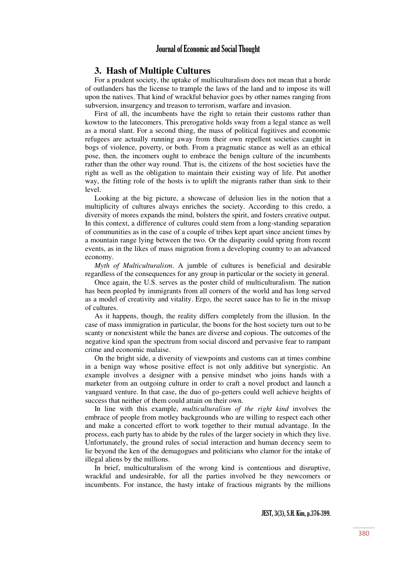# **3. Hash of Multiple Cultures**

For a prudent society, the uptake of multiculturalism does not mean that a horde of outlanders has the license to trample the laws of the land and to impose its will upon the natives. That kind of wrackful behavior goes by other names ranging from subversion, insurgency and treason to terrorism, warfare and invasion.

First of all, the incumbents have the right to retain their customs rather than kowtow to the latecomers. This prerogative holds sway from a legal stance as well as a moral slant. For a second thing, the mass of political fugitives and economic refugees are actually running away from their own repellent societies caught in bogs of violence, poverty, or both. From a pragmatic stance as well as an ethical pose, then, the incomers ought to embrace the benign culture of the incumbents rather than the other way round. That is, the citizens of the host societies have the right as well as the obligation to maintain their existing way of life. Put another way, the fitting role of the hosts is to uplift the migrants rather than sink to their level.

Looking at the big picture, a showcase of delusion lies in the notion that a multiplicity of cultures always enriches the society. According to this credo, a diversity of mores expands the mind, bolsters the spirit, and fosters creative output. In this context, a difference of cultures could stem from a long-standing separation of communities as in the case of a couple of tribes kept apart since ancient times by a mountain range lying between the two. Or the disparity could spring from recent events, as in the likes of mass migration from a developing country to an advanced economy.

*Myth of Multiculturalism*. A jumble of cultures is beneficial and desirable regardless of the consequences for any group in particular or the society in general.

Once again, the U.S. serves as the poster child of multiculturalism. The nation has been peopled by immigrants from all corners of the world and has long served as a model of creativity and vitality. Ergo, the secret sauce has to lie in the mixup of cultures.

As it happens, though, the reality differs completely from the illusion. In the case of mass immigration in particular, the boons for the host society turn out to be scanty or nonexistent while the banes are diverse and copious. The outcomes of the negative kind span the spectrum from social discord and pervasive fear to rampant crime and economic malaise.

On the bright side, a diversity of viewpoints and customs can at times combine in a benign way whose positive effect is not only additive but synergistic. An example involves a designer with a pensive mindset who joins hands with a marketer from an outgoing culture in order to craft a novel product and launch a vanguard venture. In that case, the duo of go-getters could well achieve heights of success that neither of them could attain on their own.

In line with this example, *multiculturalism of the right kind* involves the embrace of people from motley backgrounds who are willing to respect each other and make a concerted effort to work together to their mutual advantage. In the process, each party has to abide by the rules of the larger society in which they live. Unfortunately, the ground rules of social interaction and human decency seem to lie beyond the ken of the demagogues and politicians who clamor for the intake of illegal aliens by the millions.

In brief, multiculturalism of the wrong kind is contentious and disruptive, wrackful and undesirable, for all the parties involved be they newcomers or incumbents. For instance, the hasty intake of fractious migrants by the millions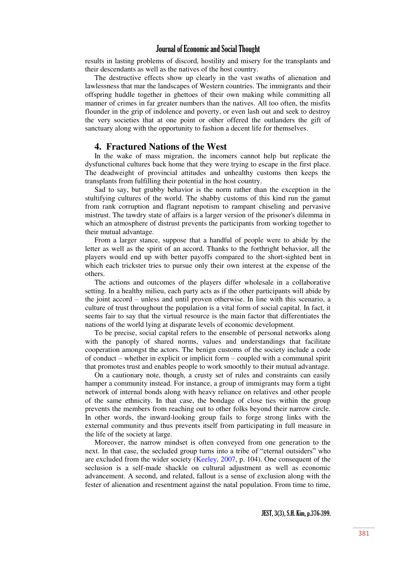results in lasting problems of discord, hostility and misery for the transplants and their descendants as well as the natives of the host country.

The destructive effects show up clearly in the vast swaths of alienation and lawlessness that mar the landscapes of Western countries. The immigrants and their offspring huddle together in ghettoes of their own making while committing all manner of crimes in far greater numbers than the natives. All too often, the misfits flounder in the grip of indolence and poverty, or even lash out and seek to destroy the very societies that at one point or other offered the outlanders the gift of sanctuary along with the opportunity to fashion a decent life for themselves.

#### **4. Fractured Nations of the West**

In the wake of mass migration, the incomers cannot help but replicate the dysfunctional cultures back home that they were trying to escape in the first place. The deadweight of provincial attitudes and unhealthy customs then keeps the transplants from fulfilling their potential in the host country.

Sad to say, but grubby behavior is the norm rather than the exception in the stultifying cultures of the world. The shabby customs of this kind run the gamut from rank corruption and flagrant nepotism to rampant chiseling and pervasive mistrust. The tawdry state of affairs is a larger version of the prisoner's dilemma in which an atmosphere of distrust prevents the participants from working together to their mutual advantage.

From a larger stance, suppose that a handful of people were to abide by the letter as well as the spirit of an accord. Thanks to the forthright behavior, all the players would end up with better payoffs compared to the short-sighted bent in which each trickster tries to pursue only their own interest at the expense of the others.

The actions and outcomes of the players differ wholesale in a collaborative setting. In a healthy milieu, each party acts as if the other participants will abide by the joint accord – unless and until proven otherwise. In line with this scenario, a culture of trust throughout the population is a vital form of social capital. In fact, it seems fair to say that the virtual resource is the main factor that differentiates the nations of the world lying at disparate levels of economic development.

To be precise, social capital refers to the ensemble of personal networks along with the panoply of shared norms, values and understandings that facilitate cooperation amongst the actors. The benign customs of the society include a code of conduct – whether in explicit or implicit form – coupled with a communal spirit that promotes trust and enables people to work smoothly to their mutual advantage.

On a cautionary note, though, a crusty set of rules and constraints can easily hamper a community instead. For instance, a group of immigrants may form a tight network of internal bonds along with heavy reliance on relatives and other people of the same ethnicity. In that case, the bondage of close ties within the group prevents the members from reaching out to other folks beyond their narrow circle. In other words, the inward-looking group fails to forge strong links with the external community and thus prevents itself from participating in full measure in the life of the society at large.

Moreover, the narrow mindset is often conveyed from one generation to the next. In that case, the secluded group turns into a tribe of "eternal outsiders" who are excluded from the wider society [\(Keeley, 2007,](#page-23-4) p. 104). One consequent of the seclusion is a self-made shackle on cultural adjustment as well as economic advancement. A second, and related, fallout is a sense of exclusion along with the fester of alienation and resentment against the natal population. From time to time,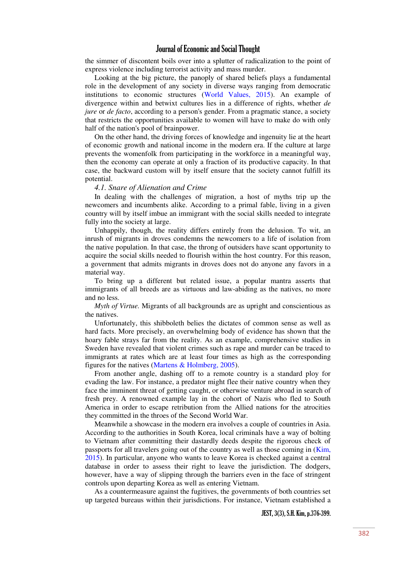the simmer of discontent boils over into a splutter of radicalization to the point of express violence including terrorist activity and mass murder.

Looking at the big picture, the panoply of shared beliefs plays a fundamental role in the development of any society in diverse ways ranging from democratic institutions to economic structures [\(World Values, 2015\)](#page-24-0). An example of divergence within and betwixt cultures lies in a difference of rights, whether *de jure* or *de facto*, according to a person's gender. From a pragmatic stance, a society that restricts the opportunities available to women will have to make do with only half of the nation's pool of brainpower.

On the other hand, the driving forces of knowledge and ingenuity lie at the heart of economic growth and national income in the modern era. If the culture at large prevents the womenfolk from participating in the workforce in a meaningful way, then the economy can operate at only a fraction of its productive capacity. In that case, the backward custom will by itself ensure that the society cannot fulfill its potential.

#### *4.1. Snare of Alienation and Crime*

In dealing with the challenges of migration, a host of myths trip up the newcomers and incumbents alike. According to a primal fable, living in a given country will by itself imbue an immigrant with the social skills needed to integrate fully into the society at large.

Unhappily, though, the reality differs entirely from the delusion. To wit, an inrush of migrants in droves condemns the newcomers to a life of isolation from the native population. In that case, the throng of outsiders have scant opportunity to acquire the social skills needed to flourish within the host country. For this reason, a government that admits migrants in droves does not do anyone any favors in a material way.

To bring up a different but related issue, a popular mantra asserts that immigrants of all breeds are as virtuous and law-abiding as the natives, no more and no less.

*Myth of Virtue.* Migrants of all backgrounds are as upright and conscientious as the natives.

Unfortunately, this shibboleth belies the dictates of common sense as well as hard facts. More precisely, an overwhelming body of evidence has shown that the hoary fable strays far from the reality. As an example, comprehensive studies in Sweden have revealed that violent crimes such as rape and murder can be traced to immigrants at rates which are at least four times as high as the corresponding figures for the natives [\(Martens & Holmberg, 2005\)](#page-23-5).

From another angle, dashing off to a remote country is a standard ploy for evading the law. For instance, a predator might flee their native country when they face the imminent threat of getting caught, or otherwise venture abroad in search of fresh prey. A renowned example lay in the cohort of Nazis who fled to South America in order to escape retribution from the Allied nations for the atrocities they committed in the throes of the Second World War.

Meanwhile a showcase in the modern era involves a couple of countries in Asia. According to the authorities in South Korea, local criminals have a way of bolting to Vietnam after committing their dastardly deeds despite the rigorous check of passports for all travelers going out of the country as well as those coming in [\(Kim,](#page-23-6)  [2015\)](#page-23-6). In particular, anyone who wants to leave Korea is checked against a central database in order to assess their right to leave the jurisdiction. The dodgers, however, have a way of slipping through the barriers even in the face of stringent controls upon departing Korea as well as entering Vietnam.

As a countermeasure against the fugitives, the governments of both countries set up targeted bureaus within their jurisdictions. For instance, Vietnam established a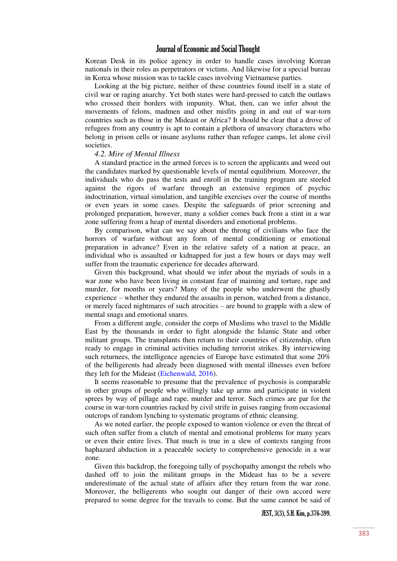Korean Desk in its police agency in order to handle cases involving Korean nationals in their roles as perpetrators or victims. And likewise for a special bureau in Korea whose mission was to tackle cases involving Vietnamese parties.

Looking at the big picture, neither of these countries found itself in a state of civil war or raging anarchy. Yet both states were hard-pressed to catch the outlaws who crossed their borders with impunity. What, then, can we infer about the movements of felons, madmen and other misfits going in and out of war-torn countries such as those in the Mideast or Africa? It should be clear that a drove of refugees from any country is apt to contain a plethora of unsavory characters who belong in prison cells or insane asylums rather than refugee camps, let alone civil societies.

#### *4.2. Mire of Mental Illness*

A standard practice in the armed forces is to screen the applicants and weed out the candidates marked by questionable levels of mental equilibrium. Moreover, the individuals who do pass the tests and enroll in the training program are steeled against the rigors of warfare through an extensive regimen of psychic indoctrination, virtual simulation, and tangible exercises over the course of months or even years in some cases. Despite the safeguards of prior screening and prolonged preparation, however, many a soldier comes back from a stint in a war zone suffering from a heap of mental disorders and emotional problems.

By comparison, what can we say about the throng of civilians who face the horrors of warfare without any form of mental conditioning or emotional preparation in advance? Even in the relative safety of a nation at peace, an individual who is assaulted or kidnapped for just a few hours or days may well suffer from the traumatic experience for decades afterward.

Given this background, what should we infer about the myriads of souls in a war zone who have been living in constant fear of maiming and torture, rape and murder, for months or years? Many of the people who underwent the ghastly experience – whether they endured the assaults in person, watched from a distance, or merely faced nightmares of such atrocities – are bound to grapple with a slew of mental snags and emotional snares.

From a different angle, consider the corps of Muslims who travel to the Middle East by the thousands in order to fight alongside the Islamic State and other militant groups. The transplants then return to their countries of citizenship, often ready to engage in criminal activities including terrorist strikes. By interviewing such returnees, the intelligence agencies of Europe have estimated that some 20% of the belligerents had already been diagnosed with mental illnesses even before they left for the Mideast [\(Eichenwald, 2016\)](#page-23-7).

It seems reasonable to presume that the prevalence of psychosis is comparable in other groups of people who willingly take up arms and participate in violent sprees by way of pillage and rape, murder and terror. Such crimes are par for the course in war-torn countries racked by civil strife in guises ranging from occasional outcrops of random lynching to systematic programs of ethnic cleansing.

As we noted earlier, the people exposed to wanton violence or even the threat of such often suffer from a clutch of mental and emotional problems for many years or even their entire lives. That much is true in a slew of contexts ranging from haphazard abduction in a peaceable society to comprehensive genocide in a war zone.

Given this backdrop, the foregoing tally of psychopathy amongst the rebels who dashed off to join the militant groups in the Mideast has to be a severe underestimate of the actual state of affairs after they return from the war zone. Moreover, the belligerents who sought out danger of their own accord were prepared to some degree for the travails to come. But the same cannot be said of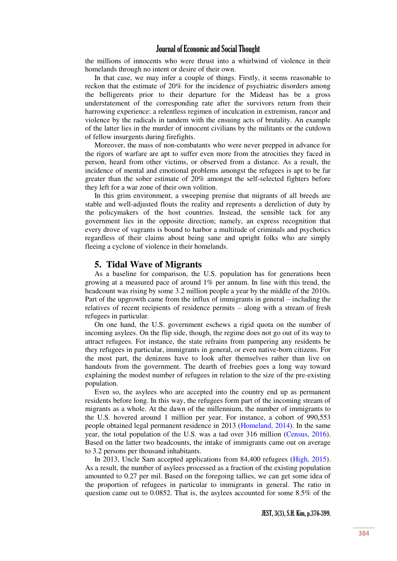the millions of innocents who were thrust into a whirlwind of violence in their homelands through no intent or desire of their own.

In that case, we may infer a couple of things. Firstly, it seems reasonable to reckon that the estimate of 20% for the incidence of psychiatric disorders among the belligerents prior to their departure for the Mideast has be a gross understatement of the corresponding rate after the survivors return from their harrowing experience: a relentless regimen of inculcation in extremism, rancor and violence by the radicals in tandem with the ensuing acts of brutality. An example of the latter lies in the murder of innocent civilians by the militants or the cutdown of fellow insurgents during firefights.

Moreover, the mass of non-combatants who were never prepped in advance for the rigors of warfare are apt to suffer even more from the atrocities they faced in person, heard from other victims, or observed from a distance. As a result, the incidence of mental and emotional problems amongst the refugees is apt to be far greater than the sober estimate of 20% amongst the self-selected fighters before they left for a war zone of their own volition.

In this grim environment, a sweeping premise that migrants of all breeds are stable and well-adjusted flouts the reality and represents a dereliction of duty by the policymakers of the host countries. Instead, the sensible tack for any government lies in the opposite direction; namely, an express recognition that every drove of vagrants is bound to harbor a multitude of criminals and psychotics regardless of their claims about being sane and upright folks who are simply fleeing a cyclone of violence in their homelands.

#### **5. Tidal Wave of Migrants**

As a baseline for comparison, the U.S. population has for generations been growing at a measured pace of around 1% per annum. In line with this trend, the headcount was rising by some 3.2 million people a year by the middle of the 2010s. Part of the upgrowth came from the influx of immigrants in general – including the relatives of recent recipients of residence permits – along with a stream of fresh refugees in particular.

On one hand, the U.S. government eschews a rigid quota on the number of incoming asylees. On the flip side, though, the regime does not go out of its way to attract refugees. For instance, the state refrains from pampering any residents be they refugees in particular, immigrants in general, or even native-born citizens. For the most part, the denizens have to look after themselves rather than live on handouts from the government. The dearth of freebies goes a long way toward explaining the modest number of refugees in relation to the size of the pre-existing population.

Even so, the asylees who are accepted into the country end up as permanent residents before long. In this way, the refugees form part of the incoming stream of migrants as a whole. At the dawn of the millennium, the number of immigrants to the U.S. hovered around 1 million per year. For instance, a cohort of 990,553 people obtained legal permanent residence in 2013 [\(Homeland, 2014\)](#page-23-8). In the same year, the total population of the U.S. was a tad over 316 million [\(Census, 2016\)](#page-23-9). Based on the latter two headcounts, the intake of immigrants came out on average to 3.2 persons per thousand inhabitants.

In 2013, Uncle Sam accepted applications from 84,400 refugees [\(High, 2015\)](#page-23-10). As a result, the number of asylees processed as a fraction of the existing population amounted to 0.27 per mil. Based on the foregoing tallies, we can get some idea of the proportion of refugees in particular to immigrants in general. The ratio in question came out to 0.0852. That is, the asylees accounted for some 8.5% of the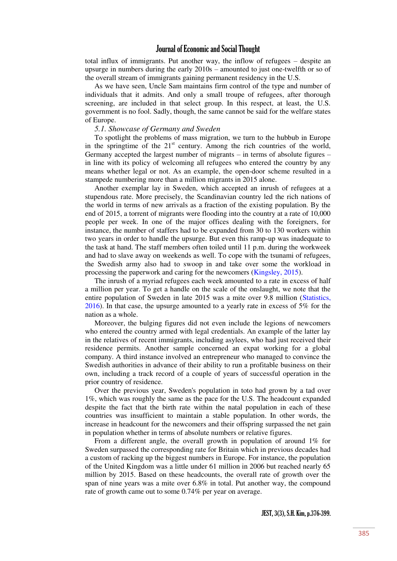total influx of immigrants. Put another way, the inflow of refugees – despite an upsurge in numbers during the early 2010s – amounted to just one-twelfth or so of the overall stream of immigrants gaining permanent residency in the U.S.

As we have seen, Uncle Sam maintains firm control of the type and number of individuals that it admits. And only a small troupe of refugees, after thorough screening, are included in that select group. In this respect, at least, the U.S. government is no fool. Sadly, though, the same cannot be said for the welfare states of Europe.

#### *5.1. Showcase of Germany and Sweden*

To spotlight the problems of mass migration, we turn to the hubbub in Europe in the springtime of the  $21<sup>st</sup>$  century. Among the rich countries of the world, Germany accepted the largest number of migrants – in terms of absolute figures – in line with its policy of welcoming all refugees who entered the country by any means whether legal or not. As an example, the open-door scheme resulted in a stampede numbering more than a million migrants in 2015 alone.

Another exemplar lay in Sweden, which accepted an inrush of refugees at a stupendous rate. More precisely, the Scandinavian country led the rich nations of the world in terms of new arrivals as a fraction of the existing population. By the end of 2015, a torrent of migrants were flooding into the country at a rate of 10,000 people per week. In one of the major offices dealing with the foreigners, for instance, the number of staffers had to be expanded from 30 to 130 workers within two years in order to handle the upsurge. But even this ramp-up was inadequate to the task at hand. The staff members often toiled until 11 p.m. during the workweek and had to slave away on weekends as well. To cope with the tsunami of refugees, the Swedish army also had to swoop in and take over some the workload in processing the paperwork and caring for the newcomers [\(Kingsley, 2015\)](#page-23-11).

The inrush of a myriad refugees each week amounted to a rate in excess of half a million per year. To get a handle on the scale of the onslaught, we note that the entire population of Sweden in late 2015 was a mite over 9.8 million [\(Statistics,](#page-23-12)  [2016\)](#page-23-12). In that case, the upsurge amounted to a yearly rate in excess of 5% for the nation as a whole.

Moreover, the bulging figures did not even include the legions of newcomers who entered the country armed with legal credentials. An example of the latter lay in the relatives of recent immigrants, including asylees, who had just received their residence permits. Another sample concerned an expat working for a global company. A third instance involved an entrepreneur who managed to convince the Swedish authorities in advance of their ability to run a profitable business on their own, including a track record of a couple of years of successful operation in the prior country of residence.

Over the previous year, Sweden's population in toto had grown by a tad over 1%, which was roughly the same as the pace for the U.S. The headcount expanded despite the fact that the birth rate within the natal population in each of these countries was insufficient to maintain a stable population. In other words, the increase in headcount for the newcomers and their offspring surpassed the net gain in population whether in terms of absolute numbers or relative figures.

From a different angle, the overall growth in population of around 1% for Sweden surpassed the corresponding rate for Britain which in previous decades had a custom of racking up the biggest numbers in Europe. For instance, the population of the United Kingdom was a little under 61 million in 2006 but reached nearly 65 million by 2015. Based on these headcounts, the overall rate of growth over the span of nine years was a mite over 6.8% in total. Put another way, the compound rate of growth came out to some 0.74% per year on average.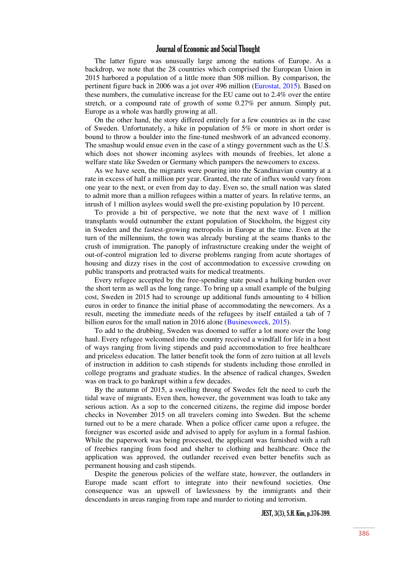The latter figure was unusually large among the nations of Europe. As a backdrop, we note that the 28 countries which comprised the European Union in 2015 harbored a population of a little more than 508 million. By comparison, the pertinent figure back in 2006 was a jot over 496 million [\(Eurostat, 2015\)](#page-23-13). Based on these numbers, the cumulative increase for the EU came out to 2.4% over the entire stretch, or a compound rate of growth of some 0.27% per annum. Simply put, Europe as a whole was hardly growing at all.

On the other hand, the story differed entirely for a few countries as in the case of Sweden. Unfortunately, a hike in population of 5% or more in short order is bound to throw a boulder into the fine-tuned meshwork of an advanced economy. The smashup would ensue even in the case of a stingy government such as the U.S. which does not shower incoming asylees with mounds of freebies, let alone a welfare state like Sweden or Germany which pampers the newcomers to excess.

As we have seen, the migrants were pouring into the Scandinavian country at a rate in excess of half a million per year. Granted, the rate of influx would vary from one year to the next, or even from day to day. Even so, the small nation was slated to admit more than a million refugees within a matter of years. In relative terms, an inrush of 1 million asylees would swell the pre-existing population by 10 percent.

To provide a bit of perspective, we note that the next wave of 1 million transplants would outnumber the extant population of Stockholm, the biggest city in Sweden and the fastest-growing metropolis in Europe at the time. Even at the turn of the millennium, the town was already bursting at the seams thanks to the crush of immigration. The panoply of infrastructure creaking under the weight of out-of-control migration led to diverse problems ranging from acute shortages of housing and dizzy rises in the cost of accommodation to excessive crowding on public transports and protracted waits for medical treatments.

Every refugee accepted by the free-spending state posed a hulking burden over the short term as well as the long range. To bring up a small example of the bulging cost, Sweden in 2015 had to scrounge up additional funds amounting to 4 billion euros in order to finance the initial phase of accommodating the newcomers. As a result, meeting the immediate needs of the refugees by itself entailed a tab of 7 billion euros for the small nation in 2016 alone [\(Businessweek, 2015\)](#page-23-14).

To add to the drubbing, Sweden was doomed to suffer a lot more over the long haul. Every refugee welcomed into the country received a windfall for life in a host of ways ranging from living stipends and paid accommodation to free healthcare and priceless education. The latter benefit took the form of zero tuition at all levels of instruction in addition to cash stipends for students including those enrolled in college programs and graduate studies. In the absence of radical changes, Sweden was on track to go bankrupt within a few decades.

By the autumn of 2015, a swelling throng of Swedes felt the need to curb the tidal wave of migrants. Even then, however, the government was loath to take any serious action. As a sop to the concerned citizens, the regime did impose border checks in November 2015 on all travelers coming into Sweden. But the scheme turned out to be a mere charade. When a police officer came upon a refugee, the foreigner was escorted aside and advised to apply for asylum in a formal fashion. While the paperwork was being processed, the applicant was furnished with a raft of freebies ranging from food and shelter to clothing and healthcare. Once the application was approved, the outlander received even better benefits such as permanent housing and cash stipends.

Despite the generous policies of the welfare state, however, the outlanders in Europe made scant effort to integrate into their newfound societies. One consequence was an upswell of lawlessness by the immigrants and their descendants in areas ranging from rape and murder to rioting and terrorism.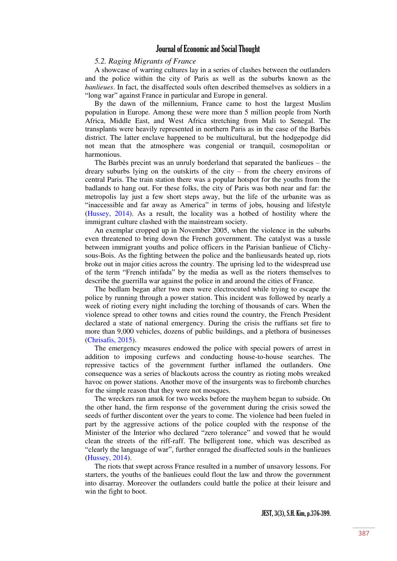#### *5.2. Raging Migrants of France*

A showcase of warring cultures lay in a series of clashes between the outlanders and the police within the city of Paris as well as the suburbs known as the *banlieues*. In fact, the disaffected souls often described themselves as soldiers in a "long war" against France in particular and Europe in general.

By the dawn of the millennium, France came to host the largest Muslim population in Europe. Among these were more than 5 million people from North Africa, Middle East, and West Africa stretching from Mali to Senegal. The transplants were heavily represented in northern Paris as in the case of the Barbès district. The latter enclave happened to be multicultural, but the hodgepodge did not mean that the atmosphere was congenial or tranquil, cosmopolitan or harmonious.

The Barbès precint was an unruly borderland that separated the banlieues – the dreary suburbs lying on the outskirts of the city – from the cheery environs of central Paris. The train station there was a popular hotspot for the youths from the badlands to hang out. For these folks, the city of Paris was both near and far: the metropolis lay just a few short steps away, but the life of the urbanite was as "inaccessible and far away as America" in terms of jobs, housing and lifestyle [\(Hussey, 2014\)](#page-23-15). As a result, the locality was a hotbed of hostility where the immigrant culture clashed with the mainstream society.

An exemplar cropped up in November 2005, when the violence in the suburbs even threatened to bring down the French government. The catalyst was a tussle between immigrant youths and police officers in the Parisian banlieue of Clichysous-Bois. As the fighting between the police and the banlieusards heated up, riots broke out in major cities across the country. The uprising led to the widespread use of the term "French intifada" by the media as well as the rioters themselves to describe the guerrilla war against the police in and around the cities of France.

The bedlam began after two men were electrocuted while trying to escape the police by running through a power station. This incident was followed by nearly a week of rioting every night including the torching of thousands of cars. When the violence spread to other towns and cities round the country, the French President declared a state of national emergency. During the crisis the ruffians set fire to more than 9,000 vehicles, dozens of public buildings, and a plethora of businesses [\(Chrisafis, 2015\)](#page-23-16).

The emergency measures endowed the police with special powers of arrest in addition to imposing curfews and conducting house-to-house searches. The repressive tactics of the government further inflamed the outlanders. One consequence was a series of blackouts across the country as rioting mobs wreaked havoc on power stations. Another move of the insurgents was to firebomb churches for the simple reason that they were not mosques.

The wreckers ran amok for two weeks before the mayhem began to subside. On the other hand, the firm response of the government during the crisis sowed the seeds of further discontent over the years to come. The violence had been fueled in part by the aggressive actions of the police coupled with the response of the Minister of the Interior who declared "zero tolerance" and vowed that he would clean the streets of the riff-raff. The belligerent tone, which was described as "clearly the language of war", further enraged the disaffected souls in the banlieues [\(Hussey, 2014\)](#page-23-15).

The riots that swept across France resulted in a number of unsavory lessons. For starters, the youths of the banlieues could flout the law and throw the government into disarray. Moreover the outlanders could battle the police at their leisure and win the fight to boot.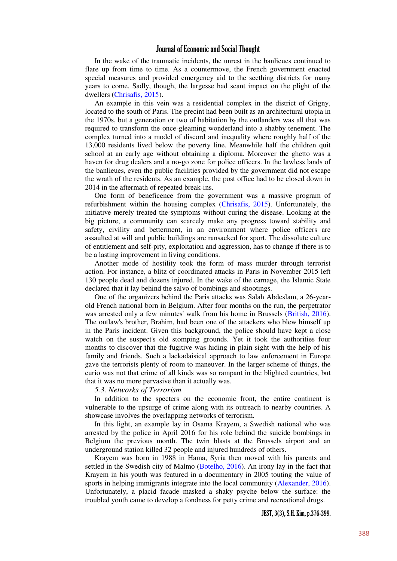In the wake of the traumatic incidents, the unrest in the banlieues continued to flare up from time to time. As a countermove, the French government enacted special measures and provided emergency aid to the seething districts for many years to come. Sadly, though, the largesse had scant impact on the plight of the dwellers [\(Chrisafis, 2015\)](#page-23-16).

An example in this vein was a residential complex in the district of Grigny, located to the south of Paris. The precint had been built as an architectural utopia in the 1970s, but a generation or two of habitation by the outlanders was all that was required to transform the once-gleaming wonderland into a shabby tenement. The complex turned into a model of discord and inequality where roughly half of the 13,000 residents lived below the poverty line. Meanwhile half the children quit school at an early age without obtaining a diploma. Moreover the ghetto was a haven for drug dealers and a no-go zone for police officers. In the lawless lands of the banlieues, even the public facilities provided by the government did not escape the wrath of the residents. As an example, the post office had to be closed down in 2014 in the aftermath of repeated break-ins.

One form of beneficence from the government was a massive program of refurbishment within the housing complex [\(Chrisafis, 2015\)](#page-23-16). Unfortunately, the initiative merely treated the symptoms without curing the disease. Looking at the big picture, a community can scarcely make any progress toward stability and safety, civility and betterment, in an environment where police officers are assaulted at will and public buildings are ransacked for sport. The dissolute culture of entitlement and self-pity, exploitation and aggression, has to change if there is to be a lasting improvement in living conditions.

Another mode of hostility took the form of mass murder through terrorist action. For instance, a blitz of coordinated attacks in Paris in November 2015 left 130 people dead and dozens injured. In the wake of the carnage, the Islamic State declared that it lay behind the salvo of bombings and shootings.

One of the organizers behind the Paris attacks was Salah Abdeslam, a 26-yearold French national born in Belgium. After four months on the run, the perpetrator was arrested only a few minutes' walk from his home in Brussels [\(British, 2016\)](#page-23-17). The outlaw's brother, Brahim, had been one of the attackers who blew himself up in the Paris incident. Given this background, the police should have kept a close watch on the suspect's old stomping grounds. Yet it took the authorities four months to discover that the fugitive was hiding in plain sight with the help of his family and friends. Such a lackadaisical approach to law enforcement in Europe gave the terrorists plenty of room to maneuver. In the larger scheme of things, the curio was not that crime of all kinds was so rampant in the blighted countries, but that it was no more pervasive than it actually was.

#### *5.3. Networks of Terrorism*

In addition to the specters on the economic front, the entire continent is vulnerable to the upsurge of crime along with its outreach to nearby countries. A showcase involves the overlapping networks of terrorism.

In this light, an example lay in Osama Krayem, a Swedish national who was arrested by the police in April 2016 for his role behind the suicide bombings in Belgium the previous month. The twin blasts at the Brussels airport and an underground station killed 32 people and injured hundreds of others.

Krayem was born in 1988 in Hama, Syria then moved with his parents and settled in the Swedish city of Malmo [\(Botelho, 2016\)](#page-23-18). An irony lay in the fact that Krayem in his youth was featured in a documentary in 2005 touting the value of sports in helping immigrants integrate into the local community [\(Alexander, 2016\)](#page-23-19). Unfortunately, a placid facade masked a shaky psyche below the surface: the troubled youth came to develop a fondness for petty crime and recreational drugs.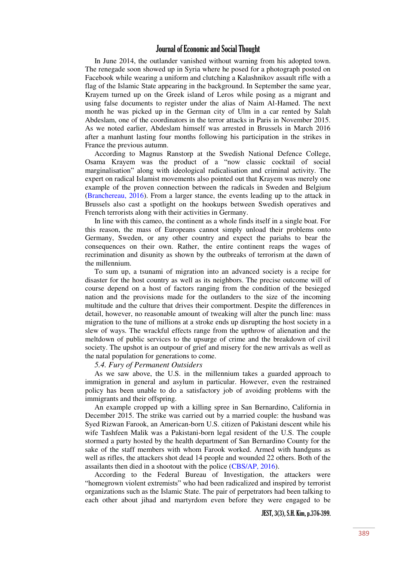In June 2014, the outlander vanished without warning from his adopted town. The renegade soon showed up in Syria where he posed for a photograph posted on Facebook while wearing a uniform and clutching a Kalashnikov assault rifle with a flag of the Islamic State appearing in the background. In September the same year, Krayem turned up on the Greek island of Leros while posing as a migrant and using false documents to register under the alias of Naim Al-Hamed. The next month he was picked up in the German city of Ulm in a car rented by Salah Abdeslam, one of the coordinators in the terror attacks in Paris in November 2015. As we noted earlier, Abdeslam himself was arrested in Brussels in March 2016 after a manhunt lasting four months following his participation in the strikes in France the previous autumn.

According to Magnus Ranstorp at the Swedish National Defence College, Osama Krayem was the product of a "now classic cocktail of social marginalisation" along with ideological radicalisation and criminal activity. The expert on radical Islamist movements also pointed out that Krayem was merely one example of the proven connection between the radicals in Sweden and Belgium [\(Branchereau, 2016\)](#page-23-20). From a larger stance, the events leading up to the attack in Brussels also cast a spotlight on the hookups between Swedish operatives and French terrorists along with their activities in Germany.

In line with this cameo, the continent as a whole finds itself in a single boat. For this reason, the mass of Europeans cannot simply unload their problems onto Germany, Sweden, or any other country and expect the pariahs to bear the consequences on their own. Rather, the entire continent reaps the wages of recrimination and disunity as shown by the outbreaks of terrorism at the dawn of the millennium.

To sum up, a tsunami of migration into an advanced society is a recipe for disaster for the host country as well as its neighbors. The precise outcome will of course depend on a host of factors ranging from the condition of the besieged nation and the provisions made for the outlanders to the size of the incoming multitude and the culture that drives their comportment. Despite the differences in detail, however, no reasonable amount of tweaking will alter the punch line: mass migration to the tune of millions at a stroke ends up disrupting the host society in a slew of ways. The wrackful effects range from the upthrow of alienation and the meltdown of public services to the upsurge of crime and the breakdown of civil society. The upshot is an outpour of grief and misery for the new arrivals as well as the natal population for generations to come.

#### *5.4. Fury of Permanent Outsiders*

As we saw above, the U.S. in the millennium takes a guarded approach to immigration in general and asylum in particular. However, even the restrained policy has been unable to do a satisfactory job of avoiding problems with the immigrants and their offspring.

An example cropped up with a killing spree in San Bernardino, California in December 2015. The strike was carried out by a married couple: the husband was Syed Rizwan Farook, an American-born U.S. citizen of Pakistani descent while his wife Tashfeen Malik was a Pakistani-born legal resident of the U.S. The couple stormed a party hosted by the health department of San Bernardino County for the sake of the staff members with whom Farook worked. Armed with handguns as well as rifles, the attackers shot dead 14 people and wounded 22 others. Both of the assailants then died in a shootout with the police [\(CBS/AP, 2016\)](#page-23-21).

According to the Federal Bureau of Investigation, the attackers were "homegrown violent extremists" who had been radicalized and inspired by terrorist organizations such as the Islamic State. The pair of perpetrators had been talking to each other about jihad and martyrdom even before they were engaged to be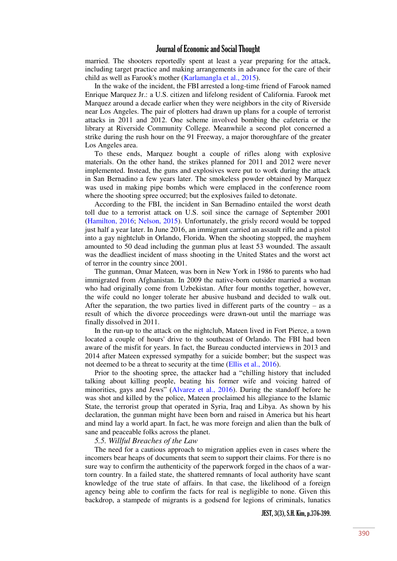married. The shooters reportedly spent at least a year preparing for the attack, including target practice and making arrangements in advance for the care of their child as well as Farook's mother [\(Karlamangla et al., 2015\)](#page-23-22).

In the wake of the incident, the FBI arrested a long-time friend of Farook named Enrique Marquez Jr.: a U.S. citizen and lifelong resident of California. Farook met Marquez around a decade earlier when they were neighbors in the city of Riverside near Los Angeles. The pair of plotters had drawn up plans for a couple of terrorist attacks in 2011 and 2012. One scheme involved bombing the cafeteria or the library at Riverside Community College. Meanwhile a second plot concerned a strike during the rush hour on the 91 Freeway, a major thoroughfare of the greater Los Angeles area.

To these ends, Marquez bought a couple of rifles along with explosive materials. On the other hand, the strikes planned for 2011 and 2012 were never implemented. Instead, the guns and explosives were put to work during the attack in San Bernadino a few years later. The smokeless powder obtained by Marquez was used in making pipe bombs which were emplaced in the conference room where the shooting spree occurred; but the explosives failed to detonate.

According to the FBI, the incident in San Bernadino entailed the worst death toll due to a terrorist attack on U.S. soil since the carnage of September 2001 [\(Hamilton, 2016;](#page-23-23) [Nelson, 2015\)](#page-23-24). Unfortunately, the grisly record would be topped just half a year later. In June 2016, an immigrant carried an assault rifle and a pistol into a gay nightclub in Orlando, Florida. When the shooting stopped, the mayhem amounted to 50 dead including the gunman plus at least 53 wounded. The assault was the deadliest incident of mass shooting in the United States and the worst act of terror in the country since 2001.

The gunman, Omar Mateen, was born in New York in 1986 to parents who had immigrated from Afghanistan. In 2009 the native-born outsider married a woman who had originally come from Uzbekistan. After four months together, however, the wife could no longer tolerate her abusive husband and decided to walk out. After the separation, the two parties lived in different parts of the country  $-$  as a result of which the divorce proceedings were drawn-out until the marriage was finally dissolved in 2011.

In the run-up to the attack on the nightclub, Mateen lived in Fort Pierce, a town located a couple of hours' drive to the southeast of Orlando. The FBI had been aware of the misfit for years. In fact, the Bureau conducted interviews in 2013 and 2014 after Mateen expressed sympathy for a suicide bomber; but the suspect was not deemed to be a threat to security at the time [\(Ellis et al., 2016\)](#page-23-25).

Prior to the shooting spree, the attacker had a "chilling history that included talking about killing people, beating his former wife and voicing hatred of minorities, gays and Jews" ([Alvarez et al., 2016\)](#page-23-26). During the standoff before he was shot and killed by the police, Mateen proclaimed his allegiance to the Islamic State, the terrorist group that operated in Syria, Iraq and Libya. As shown by his declaration, the gunman might have been born and raised in America but his heart and mind lay a world apart. In fact, he was more foreign and alien than the bulk of sane and peaceable folks across the planet.

#### *5.5. Willful Breaches of the Law*

The need for a cautious approach to migration applies even in cases where the incomers bear heaps of documents that seem to support their claims. For there is no sure way to confirm the authenticity of the paperwork forged in the chaos of a wartorn country. In a failed state, the shattered remnants of local authority have scant knowledge of the true state of affairs. In that case, the likelihood of a foreign agency being able to confirm the facts for real is negligible to none. Given this backdrop, a stampede of migrants is a godsend for legions of criminals, lunatics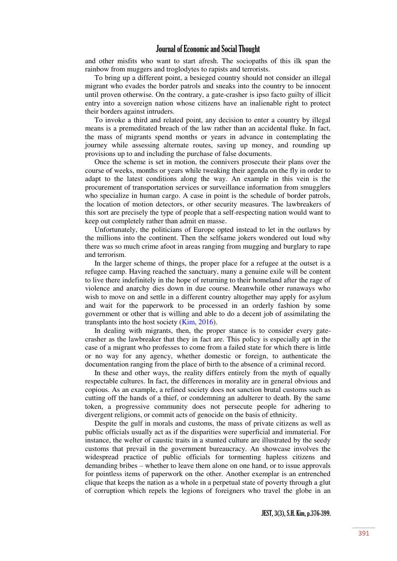and other misfits who want to start afresh. The sociopaths of this ilk span the rainbow from muggers and troglodytes to rapists and terrorists.

To bring up a different point, a besieged country should not consider an illegal migrant who evades the border patrols and sneaks into the country to be innocent until proven otherwise. On the contrary, a gate-crasher is ipso facto guilty of illicit entry into a sovereign nation whose citizens have an inalienable right to protect their borders against intruders.

To invoke a third and related point, any decision to enter a country by illegal means is a premeditated breach of the law rather than an accidental fluke. In fact, the mass of migrants spend months or years in advance in contemplating the journey while assessing alternate routes, saving up money, and rounding up provisions up to and including the purchase of false documents.

Once the scheme is set in motion, the connivers prosecute their plans over the course of weeks, months or years while tweaking their agenda on the fly in order to adapt to the latest conditions along the way. An example in this vein is the procurement of transportation services or surveillance information from smugglers who specialize in human cargo. A case in point is the schedule of border patrols, the location of motion detectors, or other security measures. The lawbreakers of this sort are precisely the type of people that a self-respecting nation would want to keep out completely rather than admit en masse.

Unfortunately, the politicians of Europe opted instead to let in the outlaws by the millions into the continent. Then the selfsame jokers wondered out loud why there was so much crime afoot in areas ranging from mugging and burglary to rape and terrorism.

In the larger scheme of things, the proper place for a refugee at the outset is a refugee camp. Having reached the sanctuary, many a genuine exile will be content to live there indefinitely in the hope of returning to their homeland after the rage of violence and anarchy dies down in due course. Meanwhile other runaways who wish to move on and settle in a different country altogether may apply for asylum and wait for the paperwork to be processed in an orderly fashion by some government or other that is willing and able to do a decent job of assimilating the transplants into the host society [\(Kim, 2016\)](#page-23-27).

In dealing with migrants, then, the proper stance is to consider every gatecrasher as the lawbreaker that they in fact are. This policy is especially apt in the case of a migrant who professes to come from a failed state for which there is little or no way for any agency, whether domestic or foreign, to authenticate the documentation ranging from the place of birth to the absence of a criminal record.

In these and other ways, the reality differs entirely from the myth of equally respectable cultures. In fact, the differences in morality are in general obvious and copious. As an example, a refined society does not sanction brutal customs such as cutting off the hands of a thief, or condemning an adulterer to death. By the same token, a progressive community does not persecute people for adhering to divergent religions, or commit acts of genocide on the basis of ethnicity.

Despite the gulf in morals and customs, the mass of private citizens as well as public officials usually act as if the disparities were superficial and immaterial. For instance, the welter of caustic traits in a stunted culture are illustrated by the seedy customs that prevail in the government bureaucracy. An showcase involves the widespread practice of public officials for tormenting hapless citizens and demanding bribes – whether to leave them alone on one hand, or to issue approvals for pointless items of paperwork on the other. Another exemplar is an entrenched clique that keeps the nation as a whole in a perpetual state of poverty through a glut of corruption which repels the legions of foreigners who travel the globe in an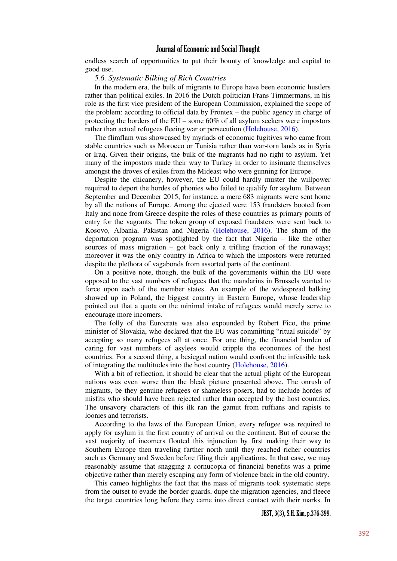endless search of opportunities to put their bounty of knowledge and capital to good use.

#### *5.6. Systematic Bilking of Rich Countries*

In the modern era, the bulk of migrants to Europe have been economic hustlers rather than political exiles. In 2016 the Dutch politician Frans Timmermans, in his role as the first vice president of the European Commission, explained the scope of the problem: according to official data by Frontex – the public agency in charge of protecting the borders of the EU – some 60% of all asylum seekers were impostors rather than actual refugees fleeing war or persecution [\(Holehouse, 2016\)](#page-23-28).

The flimflam was showcased by myriads of economic fugitives who came from stable countries such as Morocco or Tunisia rather than war-torn lands as in Syria or Iraq. Given their origins, the bulk of the migrants had no right to asylum. Yet many of the impostors made their way to Turkey in order to insinuate themselves amongst the droves of exiles from the Mideast who were gunning for Europe.

Despite the chicanery, however, the EU could hardly muster the willpower required to deport the hordes of phonies who failed to qualify for asylum. Between September and December 2015, for instance, a mere 683 migrants were sent home by all the nations of Europe. Among the ejected were 153 fraudsters booted from Italy and none from Greece despite the roles of these countries as primary points of entry for the vagrants. The token group of exposed fraudsters were sent back to Kosovo, Albania, Pakistan and Nigeria [\(Holehouse, 2016\)](#page-23-28). The sham of the deportation program was spotlighted by the fact that Nigeria – like the other sources of mass migration – got back only a trifling fraction of the runaways; moreover it was the only country in Africa to which the impostors were returned despite the plethora of vagabonds from assorted parts of the continent.

On a positive note, though, the bulk of the governments within the EU were opposed to the vast numbers of refugees that the mandarins in Brussels wanted to force upon each of the member states. An example of the widespread balking showed up in Poland, the biggest country in Eastern Europe, whose leadership pointed out that a quota on the minimal intake of refugees would merely serve to encourage more incomers.

The folly of the Eurocrats was also expounded by Robert Fico, the prime minister of Slovakia, who declared that the EU was committing "ritual suicide" by accepting so many refugees all at once. For one thing, the financial burden of caring for vast numbers of asylees would cripple the economies of the host countries. For a second thing, a besieged nation would confront the infeasible task of integrating the multitudes into the host country [\(Holehouse, 2016\)](#page-23-28).

With a bit of reflection, it should be clear that the actual plight of the European nations was even worse than the bleak picture presented above. The onrush of migrants, be they genuine refugees or shameless posers, had to include hordes of misfits who should have been rejected rather than accepted by the host countries. The unsavory characters of this ilk ran the gamut from ruffians and rapists to loonies and terrorists.

According to the laws of the European Union, every refugee was required to apply for asylum in the first country of arrival on the continent. But of course the vast majority of incomers flouted this injunction by first making their way to Southern Europe then traveling farther north until they reached richer countries such as Germany and Sweden before filing their applications. In that case, we may reasonably assume that snagging a cornucopia of financial benefits was a prime objective rather than merely escaping any form of violence back in the old country.

This cameo highlights the fact that the mass of migrants took systematic steps from the outset to evade the border guards, dupe the migration agencies, and fleece the target countries long before they came into direct contact with their marks. In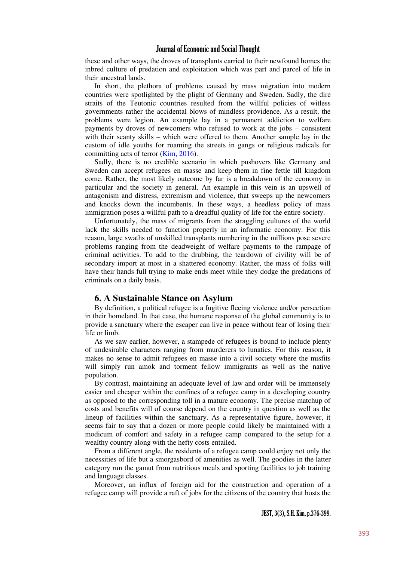these and other ways, the droves of transplants carried to their newfound homes the inbred culture of predation and exploitation which was part and parcel of life in their ancestral lands.

In short, the plethora of problems caused by mass migration into modern countries were spotlighted by the plight of Germany and Sweden. Sadly, the dire straits of the Teutonic countries resulted from the willful policies of witless governments rather the accidental blows of mindless providence. As a result, the problems were legion. An example lay in a permanent addiction to welfare payments by droves of newcomers who refused to work at the jobs – consistent with their scanty skills – which were offered to them. Another sample lay in the custom of idle youths for roaming the streets in gangs or religious radicals for committing acts of terror [\(Kim, 2016\)](#page-23-27).

Sadly, there is no credible scenario in which pushovers like Germany and Sweden can accept refugees en masse and keep them in fine fettle till kingdom come. Rather, the most likely outcome by far is a breakdown of the economy in particular and the society in general. An example in this vein is an upswell of antagonism and distress, extremism and violence, that sweeps up the newcomers and knocks down the incumbents. In these ways, a heedless policy of mass immigration poses a willful path to a dreadful quality of life for the entire society.

Unfortunately, the mass of migrants from the straggling cultures of the world lack the skills needed to function properly in an informatic economy. For this reason, large swaths of unskilled transplants numbering in the millions pose severe problems ranging from the deadweight of welfare payments to the rampage of criminal activities. To add to the drubbing, the teardown of civility will be of secondary import at most in a shattered economy. Rather, the mass of folks will have their hands full trying to make ends meet while they dodge the predations of criminals on a daily basis.

#### **6. A Sustainable Stance on Asylum**

By definition, a political refugee is a fugitive fleeing violence and/or persection in their homeland. In that case, the humane response of the global community is to provide a sanctuary where the escaper can live in peace without fear of losing their life or limb.

As we saw earlier, however, a stampede of refugees is bound to include plenty of undesirable characters ranging from murderers to lunatics. For this reason, it makes no sense to admit refugees en masse into a civil society where the misfits will simply run amok and torment fellow immigrants as well as the native population.

By contrast, maintaining an adequate level of law and order will be immensely easier and cheaper within the confines of a refugee camp in a developing country as opposed to the corresponding toll in a mature economy. The precise matchup of costs and benefits will of course depend on the country in question as well as the lineup of facilities within the sanctuary. As a representative figure, however, it seems fair to say that a dozen or more people could likely be maintained with a modicum of comfort and safety in a refugee camp compared to the setup for a wealthy country along with the hefty costs entailed.

From a different angle, the residents of a refugee camp could enjoy not only the necessities of life but a smorgasbord of amenities as well. The goodies in the latter category run the gamut from nutritious meals and sporting facilities to job training and language classes.

Moreover, an influx of foreign aid for the construction and operation of a refugee camp will provide a raft of jobs for the citizens of the country that hosts the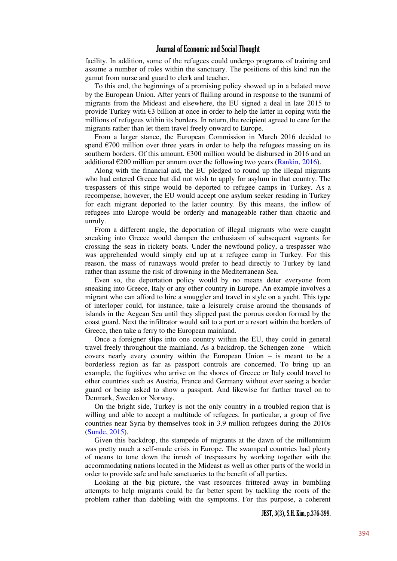facility. In addition, some of the refugees could undergo programs of training and assume a number of roles within the sanctuary. The positions of this kind run the gamut from nurse and guard to clerk and teacher.

To this end, the beginnings of a promising policy showed up in a belated move by the European Union. After years of flailing around in response to the tsunami of migrants from the Mideast and elsewhere, the EU signed a deal in late 2015 to provide Turkey with  $\epsilon$ 3 billion at once in order to help the latter in coping with the millions of refugees within its borders. In return, the recipient agreed to care for the migrants rather than let them travel freely onward to Europe.

From a larger stance, the European Commission in March 2016 decided to spend  $\epsilon$ 700 million over three years in order to help the refugees massing on its southern borders. Of this amount, €300 million would be disbursed in 2016 and an additional  $\epsilon$ 200 million per annum over the following two years [\(Rankin, 2016\)](#page-23-29).

Along with the financial aid, the EU pledged to round up the illegal migrants who had entered Greece but did not wish to apply for asylum in that country. The trespassers of this stripe would be deported to refugee camps in Turkey. As a recompense, however, the EU would accept one asylum seeker residing in Turkey for each migrant deported to the latter country. By this means, the inflow of refugees into Europe would be orderly and manageable rather than chaotic and unruly.

From a different angle, the deportation of illegal migrants who were caught sneaking into Greece would dampen the enthusiasm of subsequent vagrants for crossing the seas in rickety boats. Under the newfound policy, a trespasser who was apprehended would simply end up at a refugee camp in Turkey. For this reason, the mass of runaways would prefer to head directly to Turkey by land rather than assume the risk of drowning in the Mediterranean Sea.

Even so, the deportation policy would by no means deter everyone from sneaking into Greece, Italy or any other country in Europe. An example involves a migrant who can afford to hire a smuggler and travel in style on a yacht. This type of interloper could, for instance, take a leisurely cruise around the thousands of islands in the Aegean Sea until they slipped past the porous cordon formed by the coast guard. Next the infiltrator would sail to a port or a resort within the borders of Greece, then take a ferry to the European mainland.

Once a foreigner slips into one country within the EU, they could in general travel freely throughout the mainland. As a backdrop, the Schengen zone – which covers nearly every country within the European Union – is meant to be a borderless region as far as passport controls are concerned. To bring up an example, the fugitives who arrive on the shores of Greece or Italy could travel to other countries such as Austria, France and Germany without ever seeing a border guard or being asked to show a passport. And likewise for farther travel on to Denmark, Sweden or Norway.

On the bright side, Turkey is not the only country in a troubled region that is willing and able to accept a multitude of refugees. In particular, a group of five countries near Syria by themselves took in 3.9 million refugees during the 2010s [\(Sunde, 2015\)](#page-24-1).

Given this backdrop, the stampede of migrants at the dawn of the millennium was pretty much a self-made crisis in Europe. The swamped countries had plenty of means to tone down the inrush of trespassers by working together with the accommodating nations located in the Mideast as well as other parts of the world in order to provide safe and hale sanctuaries to the benefit of all parties.

Looking at the big picture, the vast resources frittered away in bumbling attempts to help migrants could be far better spent by tackling the roots of the problem rather than dabbling with the symptoms. For this purpose, a coherent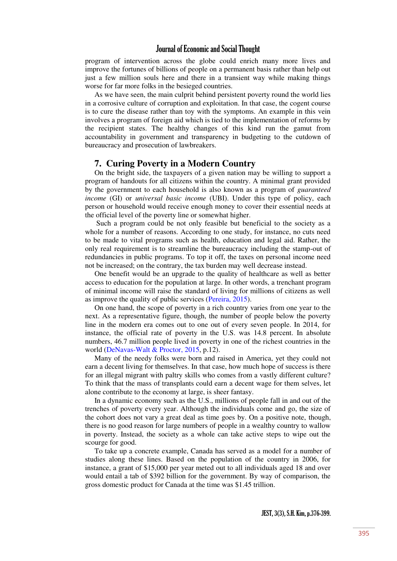program of intervention across the globe could enrich many more lives and improve the fortunes of billions of people on a permanent basis rather than help out just a few million souls here and there in a transient way while making things worse for far more folks in the besieged countries.

As we have seen, the main culprit behind persistent poverty round the world lies in a corrosive culture of corruption and exploitation. In that case, the cogent course is to cure the disease rather than toy with the symptoms. An example in this vein involves a program of foreign aid which is tied to the implementation of reforms by the recipient states. The healthy changes of this kind run the gamut from accountability in government and transparency in budgeting to the cutdown of bureaucracy and prosecution of lawbreakers.

# **7. Curing Poverty in a Modern Country**

On the bright side, the taxpayers of a given nation may be willing to support a program of handouts for all citizens within the country. A minimal grant provided by the government to each household is also known as a program of *guaranteed income* (GI) or *universal basic income* (UBI). Under this type of policy, each person or household would receive enough money to cover their essential needs at the official level of the poverty line or somewhat higher.

 Such a program could be not only feasible but beneficial to the society as a whole for a number of reasons. According to one study, for instance, no cuts need to be made to vital programs such as health, education and legal aid. Rather, the only real requirement is to streamline the bureaucracy including the stamp-out of redundancies in public programs. To top it off, the taxes on personal income need not be increased; on the contrary, the tax burden may well decrease instead.

One benefit would be an upgrade to the quality of healthcare as well as better access to education for the population at large. In other words, a trenchant program of minimal income will raise the standard of living for millions of citizens as well as improve the quality of public services [\(Pereira, 2015\)](#page-23-30).

On one hand, the scope of poverty in a rich country varies from one year to the next. As a representative figure, though, the number of people below the poverty line in the modern era comes out to one out of every seven people. In 2014, for instance, the official rate of poverty in the U.S. was 14.8 percent. In absolute numbers, 46.7 million people lived in poverty in one of the richest countries in the world [\(DeNavas-Walt & Proctor, 2015,](#page-23-31) p.12).

Many of the needy folks were born and raised in America, yet they could not earn a decent living for themselves. In that case, how much hope of success is there for an illegal migrant with paltry skills who comes from a vastly different culture? To think that the mass of transplants could earn a decent wage for them selves, let alone contribute to the economy at large, is sheer fantasy.

In a dynamic economy such as the U.S., millions of people fall in and out of the trenches of poverty every year. Although the individuals come and go, the size of the cohort does not vary a great deal as time goes by. On a positive note, though, there is no good reason for large numbers of people in a wealthy country to wallow in poverty. Instead, the society as a whole can take active steps to wipe out the scourge for good.

To take up a concrete example, Canada has served as a model for a number of studies along these lines. Based on the population of the country in 2006, for instance, a grant of \$15,000 per year meted out to all individuals aged 18 and over would entail a tab of \$392 billion for the government. By way of comparison, the gross domestic product for Canada at the time was \$1.45 trillion.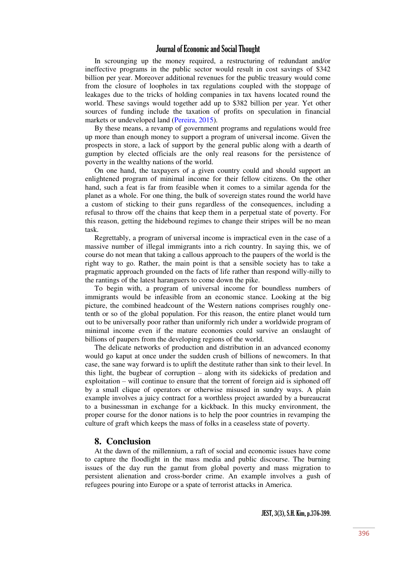In scrounging up the money required, a restructuring of redundant and/or ineffective programs in the public sector would result in cost savings of \$342 billion per year. Moreover additional revenues for the public treasury would come from the closure of loopholes in tax regulations coupled with the stoppage of leakages due to the tricks of holding companies in tax havens located round the world. These savings would together add up to \$382 billion per year. Yet other sources of funding include the taxation of profits on speculation in financial markets or undeveloped land [\(Pereira, 2015\)](#page-23-30).

By these means, a revamp of government programs and regulations would free up more than enough money to support a program of universal income. Given the prospects in store, a lack of support by the general public along with a dearth of gumption by elected officials are the only real reasons for the persistence of poverty in the wealthy nations of the world.

On one hand, the taxpayers of a given country could and should support an enlightened program of minimal income for their fellow citizens. On the other hand, such a feat is far from feasible when it comes to a similar agenda for the planet as a whole. For one thing, the bulk of sovereign states round the world have a custom of sticking to their guns regardless of the consequences, including a refusal to throw off the chains that keep them in a perpetual state of poverty. For this reason, getting the hidebound regimes to change their stripes will be no mean task.

Regrettably, a program of universal income is impractical even in the case of a massive number of illegal immigrants into a rich country. In saying this, we of course do not mean that taking a callous approach to the paupers of the world is the right way to go. Rather, the main point is that a sensible society has to take a pragmatic approach grounded on the facts of life rather than respond willy-nilly to the rantings of the latest haranguers to come down the pike.

To begin with, a program of universal income for boundless numbers of immigrants would be infeasible from an economic stance. Looking at the big picture, the combined headcount of the Western nations comprises roughly onetenth or so of the global population. For this reason, the entire planet would turn out to be universally poor rather than uniformly rich under a worldwide program of minimal income even if the mature economies could survive an onslaught of billions of paupers from the developing regions of the world.

The delicate networks of production and distribution in an advanced economy would go kaput at once under the sudden crush of billions of newcomers. In that case, the sane way forward is to uplift the destitute rather than sink to their level. In this light, the bugbear of corruption – along with its sidekicks of predation and exploitation – will continue to ensure that the torrent of foreign aid is siphoned off by a small clique of operators or otherwise misused in sundry ways. A plain example involves a juicy contract for a worthless project awarded by a bureaucrat to a businessman in exchange for a kickback. In this mucky environment, the proper course for the donor nations is to help the poor countries in revamping the culture of graft which keeps the mass of folks in a ceaseless state of poverty.

# **8. Conclusion**

At the dawn of the millennium, a raft of social and economic issues have come to capture the floodlight in the mass media and public discourse. The burning issues of the day run the gamut from global poverty and mass migration to persistent alienation and cross-border crime. An example involves a gush of refugees pouring into Europe or a spate of terrorist attacks in America.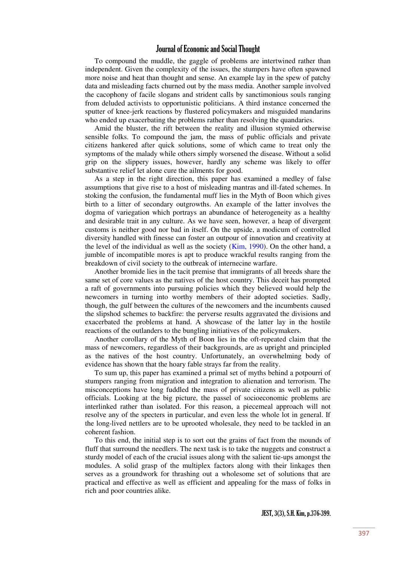To compound the muddle, the gaggle of problems are intertwined rather than independent. Given the complexity of the issues, the stumpers have often spawned more noise and heat than thought and sense. An example lay in the spew of patchy data and misleading facts churned out by the mass media. Another sample involved the cacophony of facile slogans and strident calls by sanctimonious souls ranging from deluded activists to opportunistic politicians. A third instance concerned the sputter of knee-jerk reactions by flustered policymakers and misguided mandarins who ended up exacerbating the problems rather than resolving the quandaries.

Amid the bluster, the rift between the reality and illusion stymied otherwise sensible folks. To compound the jam, the mass of public officials and private citizens hankered after quick solutions, some of which came to treat only the symptoms of the malady while others simply worsened the disease. Without a solid grip on the slippery issues, however, hardly any scheme was likely to offer substantive relief let alone cure the ailments for good.

As a step in the right direction, this paper has examined a medley of false assumptions that give rise to a host of misleading mantras and ill-fated schemes. In stoking the confusion, the fundamental muff lies in the Myth of Boon which gives birth to a litter of secondary outgrowths. An example of the latter involves the dogma of variegation which portrays an abundance of heterogeneity as a healthy and desirable trait in any culture. As we have seen, however, a heap of divergent customs is neither good nor bad in itself. On the upside, a modicum of controlled diversity handled with finesse can foster an outpour of innovation and creativity at the level of the individual as well as the society [\(Kim, 1990\)](#page-23-32). On the other hand, a jumble of incompatible mores is apt to produce wrackful results ranging from the breakdown of civil society to the outbreak of internecine warfare.

Another bromide lies in the tacit premise that immigrants of all breeds share the same set of core values as the natives of the host country. This deceit has prompted a raft of governments into pursuing policies which they believed would help the newcomers in turning into worthy members of their adopted societies. Sadly, though, the gulf between the cultures of the newcomers and the incumbents caused the slipshod schemes to backfire: the perverse results aggravated the divisions and exacerbated the problems at hand. A showcase of the latter lay in the hostile reactions of the outlanders to the bungling initiatives of the policymakers.

Another corollary of the Myth of Boon lies in the oft-repeated claim that the mass of newcomers, regardless of their backgrounds, are as upright and principled as the natives of the host country. Unfortunately, an overwhelming body of evidence has shown that the hoary fable strays far from the reality.

To sum up, this paper has examined a primal set of myths behind a potpourri of stumpers ranging from migration and integration to alienation and terrorism. The misconceptions have long fuddled the mass of private citizens as well as public officials. Looking at the big picture, the passel of socioeconomic problems are interlinked rather than isolated. For this reason, a piecemeal approach will not resolve any of the specters in particular, and even less the whole lot in general. If the long-lived nettlers are to be uprooted wholesale, they need to be tackled in an coherent fashion.

To this end, the initial step is to sort out the grains of fact from the mounds of fluff that surround the needlers. The next task is to take the nuggets and construct a sturdy model of each of the crucial issues along with the salient tie-ups amongst the modules. A solid grasp of the multiplex factors along with their linkages then serves as a groundwork for thrashing out a wholesome set of solutions that are practical and effective as well as efficient and appealing for the mass of folks in rich and poor countries alike.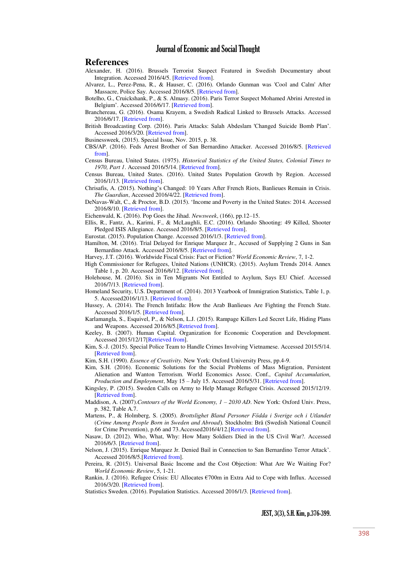#### **References**

- <span id="page-23-19"></span>Alexander, H. (2016). Brussels Terrorist Suspect Featured in Swedish Documentary about Integration. Accessed 2016/4/5. [\[Retrieved from\]](http://www.telegraph.co.uk/news/2016/04/15/brussels-terrorist-suspect-featured-in-swedish-documentary-about).
- <span id="page-23-26"></span>Alvarez, L., Perez-Pena, R., & Hauser, C. (2016). Orlando Gunman was 'Cool and Calm' After Massacre, Police Say. Accessed 2016/8/5. [\[Retrieved from\]](http://www.nytimes.com/2016/06/14/us/orlando-shooting.html?_r=0).
- <span id="page-23-18"></span>Botelho, G., Cruickshank, P., & S. Almasy. (2016). Paris Terror Suspect Mohamed Abrini Arrested in Belgium". Accessed 2016/6/17. [\[Retrieved from\]](http://edition.cnn.com/2016/04/08/europe/brussels-attack-arrests).
- <span id="page-23-20"></span>Branchereau, G. (2016). Osama Krayem, a Swedish Radical Linked to Brussels Attacks. Accessed 2016/6/17. [\[Retrieved from\]](http://www.france24.com/en/20160409-osama-krayem-swedish-radical-linked-brussels-attacks).
- <span id="page-23-17"></span>British Broadcasting Corp. (2016). Paris Attacks: Salah Abdeslam 'Changed Suicide Bomb Plan". Accessed 2016/3/20. [\[Retrieved from\]](http://www.bbc.com/news/world-europe-35852159).

<span id="page-23-14"></span>Businessweek*,* (2015). Special Issue, Nov. 2015, p. 38.

- <span id="page-23-21"></span>CBS/AP. (2016). Feds Arrest Brother of San Bernardino Attacker. Accessed 2016/8/5. [\[Retrieved](http://www.cbsnews.com/news/san-bernardino-terrorist-brother-arrest-california-marriage-fraud-conspiracy)  [from\]](http://www.cbsnews.com/news/san-bernardino-terrorist-brother-arrest-california-marriage-fraud-conspiracy).
- <span id="page-23-1"></span>Census Bureau, United States. (1975). *Historical Statistics of the United States, Colonial Times to 1970, Part 1*. Accessed 2016/5/14. [\[Retrieved from\]](https://www.census.gov/history/pdf/histstats-colonial-1970.pdf).
- <span id="page-23-9"></span>Census Bureau, United States. (2016). United States Population Growth by Region. Accessed 2016/1/13. [\[Retrieved from\]](https://www.census.gov/popclock/data_tables.php?component=growth).
- <span id="page-23-16"></span>Chrisafis, A. (2015). Nothing"s Changed: 10 Years After French Riots, Banlieues Remain in Crisis. *The Guardian*, Accessed 2016/4/22. [\[Retrieved from\]](http://www.theguardian.com/world/2015/oct/22/nothings-changed-10-years-after-french-riots-banlieues-remain-in-crisis).
- <span id="page-23-31"></span>DeNavas-Walt, C., & Proctor, B.D. (2015). "Income and Poverty in the United States: 2014. Accessed 2016/8/10. [\[Retrieved from\]](http://www.census.gov/content/dam/Census/library/publications/2015/demo/p60-252.pdf).
- <span id="page-23-7"></span>Eichenwald, K. (2016). Pop Goes the Jihad. *Newsweek*, (166), pp.12–15.
- <span id="page-23-25"></span>Ellis, R., Fantz, A., Karimi, F., & McLaughli, E.C. (2016). Orlando Shooting: 49 Killed, Shooter Pledged ISIS Allegiance. Accessed 2016/8/5. [\[Retrieved from\]](http://edition.cnn.com/2016/06/12/us/orlando-nightclub-shooting/).
- <span id="page-23-13"></span>Eurostat. (2015). Population Change. Accessed 2016/1/3. [\[Retrieved from\]](http://appsso.eurostat.ec.europa.eu/nui/show.do).
- <span id="page-23-23"></span>Hamilton, M. (2016). Trial Delayed for Enrique Marquez Jr., Accused of Supplying 2 Guns in San Bernardino Attack. Accessed 2016/8/5. [\[Retrieved from\]](http://www.latimes.com/local/lanow/la-me-ln-trial-delayed-enrique-marquez-san-bernardino-attack-20160204-story.html).
- <span id="page-23-3"></span>Harvey, J.T. (2016). Worldwide Fiscal Crisis: Fact or Fiction? *World Economic Review*, 7, 1-2.
- <span id="page-23-10"></span>High Commissioner for Refugees, United Nations (UNHCR). (2015). Asylum Trends 2014. Annex Table 1, p. 20. Accessed 2016/6/12. [\[Retrieved from\]](http://www.rcusa.org/uploads/pdfs/members/Asylum%20Levels%20and%20Trends%20in%20Industrialized%20Countries,%202014,%20UNHCR,%202015.pdf).
- <span id="page-23-28"></span>Holehouse, M. (2016). Six in Ten Migrants Not Entitled to Asylum, Says EU Chief. Accessed 2016/7/13. [\[Retrieved from\]](http://www.telegraph.co.uk/news/worldnews/europe/eu/12123684/Six-in-ten-migrants-not-entitled-to-asylum-says-EU-chief.html).

<span id="page-23-8"></span>Homeland Security, U.S. Department of. (2014). 2013 Yearbook of Immigration Statistics, Table 1, p. 5. Accessed2016/1/13. [\[Retrieved from\]](http://www.dhs.gov/sites/default/files/publications/ois_yb_2013_0.pdf).

- <span id="page-23-15"></span>Hussey, A. (2014). The French Intifada: How the Arab Banlieues Are Fighting the French State. Accessed 2016/1/5. [\[Retrieved from\]](http://www.theguardian.com/world/2014/feb/23/french-intifada-arab-banlieues-fighting-french-state-extract).
- <span id="page-23-22"></span>Karlamangla, S., Esquivel, P., & Nelson, L.J. (2015). Rampage Killers Led Secret Life, Hiding Plans and Weapons. Accessed 2016/8/5.[\[Retrieved from\]](http://www.latimes.com/local/lanow/la-me-ln-syed-farook-tashfeen-malik-shooters-san-bernardino-20151203-story.html).
- <span id="page-23-4"></span>Keeley, B. (2007). Human Capital. Organization for Economic Cooperation and Development. Accessed 2015/12/17[\[Retrieved from\]](http://www.oecd-ilibrary.org/education/human-capital_9789264029095-en).
- <span id="page-23-6"></span>Kim, S.-J. (2015). Special Police Team to Handle Crimes Involving Vietnamese. Accessed 2015/5/14. [\[Retrieved from\]](http://www.koreatimes.co.kr/www/news/nation/2015/10/116_189410.html).
- <span id="page-23-32"></span>Kim, S.H. (1990). *Essence of Creativity.* New York: Oxford University Press, pp.4-9.
- <span id="page-23-27"></span>Kim, S.H. (2016). Economic Solutions for the Social Problems of Mass Migration, Persistent Alienation and Wanton Terrorism. World Economics Assoc. Conf., *Capital Accumulation, Production and Employment*, May 15 – July 15. Accessed 2016/5/31. [\[Retrieved from\]](http://capital2016.weaconferences.net/files/2016/05/WEA-CapitalConference2016-Kim.pdf).
- <span id="page-23-11"></span>Kingsley, P. (2015). Sweden Calls on Army to Help Manage Refugee Crisis. Accessed 2015/12/19. [\[Retrieved from\]](http://www.theguardian.com/world/2015/nov/10/sweden-calls-on-army-to-help-manage-refugee-crisis).
- <span id="page-23-2"></span>Maddison, A. (2007).*Contours of the World Economy, 1 – 2030 AD*. New York: Oxford Univ. Press, p. 382, Table A.7.
- <span id="page-23-5"></span>Martens, P., & Holmberg, S. (2005). *Brottslighet Bland Personer Födda i Sverige och i Utlandet* (*Crime Among People Born in Sweden and Abroad*). Stockholm: Brå (Swedish National Council for Crime Prevention), p.66 and 73.Accessed2016/4/12.[\[Retrieved from\]](https://www.bra.se/download/18.cba82f7130f475a2f1800012697/2005_17_brottslighet_bland_personer_fodda_sverige_och_utlandet.pdf).
- <span id="page-23-0"></span>Nasaw, D. (2012). Who, What, Why: How Many Soldiers Died in the US Civil War?. Accessed 2016/6/3. [\[Retrieved from\]](http://www.bbc.com/news/magazine-17604991).
- <span id="page-23-24"></span>Nelson, J. (2015). Enrique Marquez Jr. Denied Bail in Connection to San Bernardino Terror Attack". Accessed 2016/8/5.[\[Retrieved from\]](http://www.sbsun.com/general-news/20151221/enrique-marquez-jr-denied-bail-in-connection-to-san-bernardino-terror-attack).
- <span id="page-23-30"></span>Pereira, R. (2015). Universal Basic Income and the Cost Objection: What Are We Waiting For? *World Economic Review*, 5, 1-21.
- <span id="page-23-29"></span>Rankin, J. (2016). Refugee Crisis: EU Allocates €700m in Extra Aid to Cope with Influx. Accessed 2016/3/20. [\[Retrieved from\]](http://www.theguardian.com/world/2016/mar/02/refugee-crisis-europe-eu-countries-greece-receive-700m-extra-aid-funds).
- <span id="page-23-12"></span>Statistics Sweden. (2016). Population Statistics. Accessed 2016/1/3. [\[Retrieved from\]](http://www.scb.se/be0101-en).